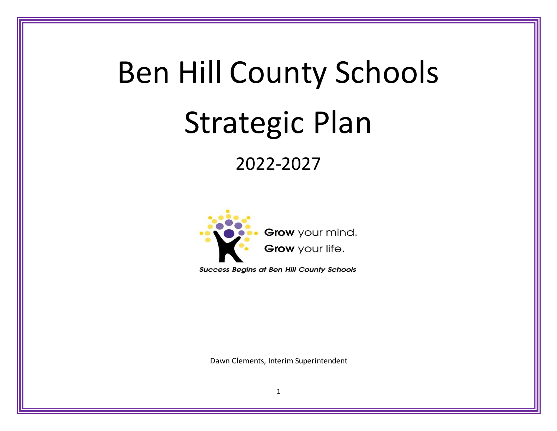# Ben Hill County Schools Strategic Plan

2022-2027



**Success Begins at Ben Hill County Schools** 

Dawn Clements, Interim Superintendent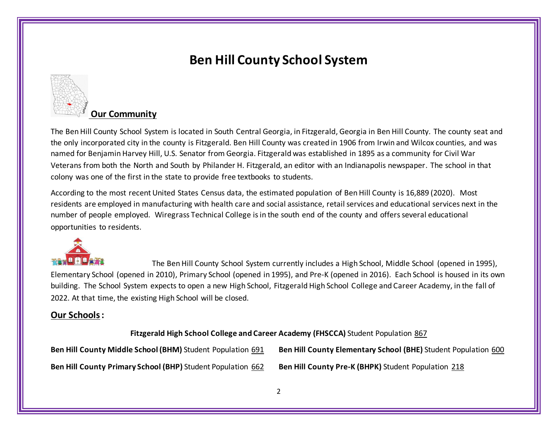

#### **Our Community**

The Ben Hill County School System is located in South Central Georgia, in Fitzgerald, Georgia in Ben Hill County. The county seat and the only incorporated city in the county is Fitzgerald. Ben Hill County was created in 1906 from Irwin and Wilcox counties, and was named for Benjamin Harvey Hill, U.S. Senator from Georgia. Fitzgerald was established in 1895 as a community for Civil War Veterans from both the North and South by Philander H. Fitzgerald, an editor with an Indianapolis newspaper. The school in that colony was one of the first in the state to provide free textbooks to students.

According to the most recent United States Census data, the estimated population of Ben Hill County is 16,889 (2020). Most residents are employed in manufacturing with health care and social assistance, retail services and educational services next in the number of people employed. Wiregrass Technical College is in the south end of the county and offersseveral educational opportunities to residents.



The Ben Hill County School System currently includes a High School, Middle School (opened in 1995), Elementary School (opened in 2010), Primary School (opened in 1995), and Pre-K (opened in 2016). Each School is housed in its own building. The School System expects to open a new High School, Fitzgerald High School College and Career Academy, in the fall of 2022. At that time, the existing High School will be closed.

#### **Our Schools:**

**Fitzgerald High School College and Career Academy (FHSCCA)** Student Population 867

**Ben Hill County Middle School (BHM)** Student Population 691 **Ben Hill County Elementary School (BHE)** Student Population 600

**Ben Hill County Primary School (BHP)** Student Population 662 **Ben Hill County Pre-K (BHPK)** Student Population 218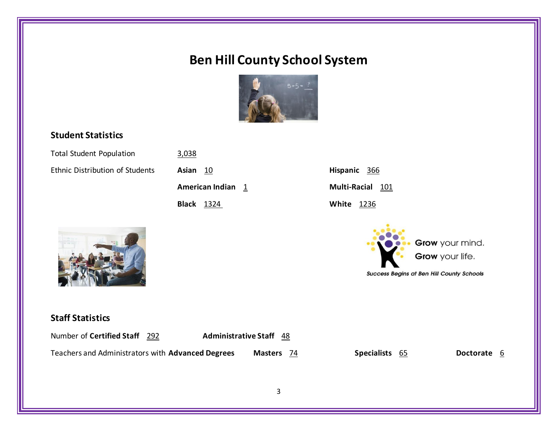

#### **Student Statistics**

| <b>Total Student Population</b> | 3,038             |                                                                                        |
|---------------------------------|-------------------|----------------------------------------------------------------------------------------|
| Ethnic Distribution of Students | Asian 10          | Hispanic 366                                                                           |
|                                 | American Indian 1 | Multi-Racial 101                                                                       |
|                                 | <b>Black</b> 1324 | <b>White 1236</b>                                                                      |
|                                 |                   | Grow your mind.<br>Grow your life.<br><b>Success Begins at Ben Hill County Schools</b> |

#### **Staff Statistics**

| Number of Certified Staff 292                     | <b>Administrative Staff</b> 48 |                |                |
|---------------------------------------------------|--------------------------------|----------------|----------------|
| Teachers and Administrators with Advanced Degrees | Masters 74                     | Specialists 65 | Doctorate<br>b |
|                                                   |                                |                |                |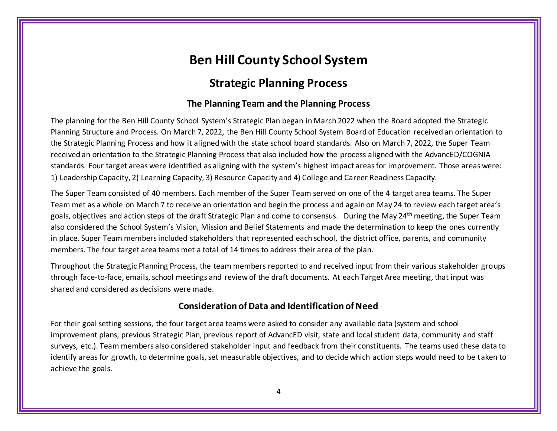#### **Strategic Planning Process**

#### **The Planning Team and the Planning Process**

The planning for the Ben Hill County School System's Strategic Plan began in March 2022 when the Board adopted the Strategic Planning Structure and Process. On March 7, 2022, the Ben Hill County School System Board of Education received an orientation to the Strategic Planning Process and how it aligned with the state school board standards. Also on March 7, 2022, the Super Team received an orientation to the Strategic Planning Process that also included how the process aligned with the AdvancED/COGNIA standards. Four target areas were identified as aligning with the system's highest impact areas for improvement. Those areas were: 1) Leadership Capacity, 2) Learning Capacity, 3) Resource Capacity and 4) College and Career Readiness Capacity.

The Super Team consisted of 40 members. Each member of the Super Team served on one of the 4 target area teams. The Super Team met as a whole on March 7 to receive an orientation and begin the process and again on May 24 to review each target area's goals, objectives and action steps of the draft Strategic Plan and come to consensus. During the May 24<sup>th</sup> meeting, the Super Team also considered the School System's Vision, Mission and Belief Statements and made the determination to keep the ones currently in place. Super Team members included stakeholders that represented each school, the district office, parents, and community members. The four target area teams met a total of 14 times to address their area of the plan.

Throughout the Strategic Planning Process, the team members reported to and received input from their various stakeholder groups through face-to-face, emails, school meetings and review of the draft documents. At each Target Area meeting, that input was shared and considered as decisions were made.

#### **Consideration of Data and Identification of Need**

For their goal setting sessions, the four target area teams were asked to consider any available data (system and school improvement plans, previous Strategic Plan, previous report of AdvancED visit, state and local student data, community and staff surveys, etc.). Team members also considered stakeholder input and feedback from their constituents. The teams used these data to identify areas for growth, to determine goals, set measurable objectives, and to decide which action steps would need to be taken to achieve the goals.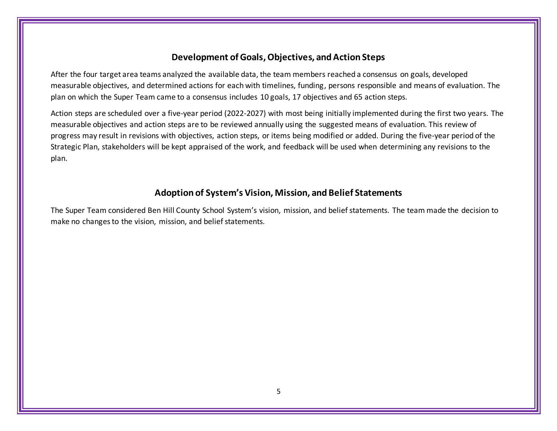#### **Development of Goals, Objectives, and Action Steps**

After the four target area teams analyzed the available data, the team members reached a consensus on goals, developed measurable objectives, and determined actions for each with timelines, funding, persons responsible and means of evaluation. The plan on which the Super Team came to a consensus includes 10 goals, 17 objectives and 65 action steps.

Action steps are scheduled over a five-year period (2022-2027) with most being initially implemented during the first two years. The measurable objectives and action steps are to be reviewed annually using the suggested means of evaluation. This review of progress may result in revisions with objectives, action steps, or items being modified or added. During the five-year period of the Strategic Plan, stakeholders will be kept appraised of the work, and feedback will be used when determining any revisions to the plan.

#### **Adoption of System's Vision, Mission, and Belief Statements**

The Super Team considered Ben Hill County School System's vision, mission, and belief statements. The team made the decision to make no changes to the vision, mission, and belief statements.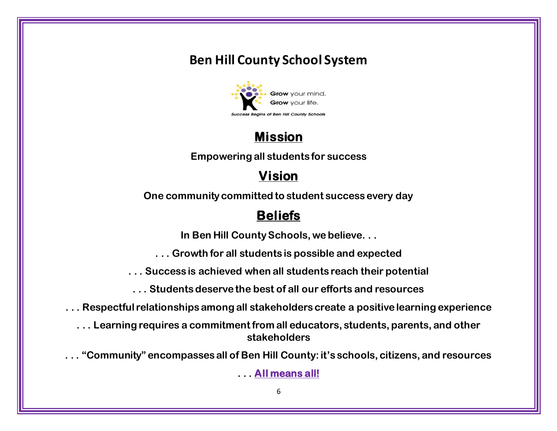

# **Mission**

**Empowering all students for success**

# **Vision**

**One community committed to student success every day**

# **Beliefs**

**In Ben Hill County Schools, we believe. . .**

**. . . Growth for all students is possible and expected**

**. . . Success is achieved when all students reach their potential**

**. . . Students deserve the best of all our efforts and resources**

**. . . Respectful relationships among all stakeholders create a positive learning experience**

**. . . Learning requires a commitment from all educators, students, parents, and other stakeholders**

**. . . "Community" encompasses all of Ben Hill County: it's schools, citizens, and resources**

**. . . All means all!**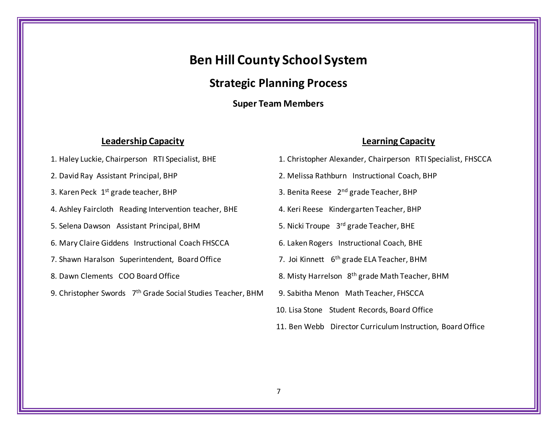#### **Strategic Planning Process**

#### **Super Team Members**

#### **Leadership Capacity Learning Capacity**

- 
- 
- 3. Karen Peck  $1<sup>st</sup>$  grade teacher, BHP
- 4. Ashley Faircloth Reading Intervention teacher, BHE 4. Keri Reese Kindergarten Teacher, BHP
- 5. Selena Dawson Assistant Principal, BHM 5. Nicki Troupe 3rd grade Teacher, BHE
- 6. Mary Claire Giddens Instructional Coach FHSCCA 6. Laken Rogers Instructional Coach, BHE
- 7. Shawn Haralson Superintendent, Board Office 7. Joi Kinnett 6<sup>th</sup> grade ELA Teacher, BHM
- 
- 9. Christopher Swords 7<sup>th</sup> Grade Social Studies Teacher, BHM
- 1. Haley Luckie, Chairperson RTI Specialist, BHE 1. Christopher Alexander, Chairperson RTI Specialist, FHSCCA
- 2. David Ray Assistant Principal, BHP 2. Melissa Rathburn Instructional Coach, BHP
	- 3. Benita Reese 2<sup>nd</sup> grade Teacher, BHP
	-
	-
	-
	-
- 8. Dawn Clements COO Board Office 8. Misty Harrelson 8<sup>th</sup> grade Math Teacher, BHM
	- 9. Sabitha Menon Math Teacher, FHSCCA
	- 10. Lisa Stone Student Records, Board Office
	- 11. Ben Webb Director Curriculum Instruction, Board Office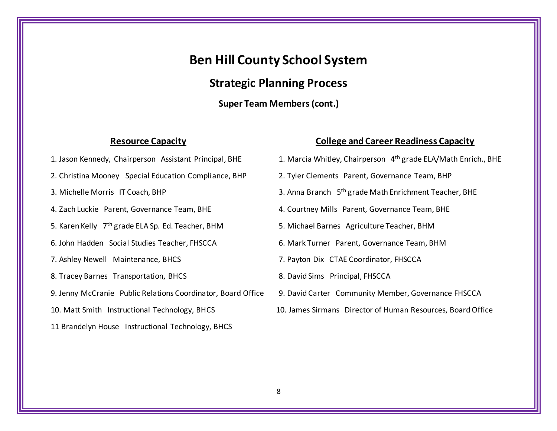#### **Strategic Planning Process**

**Super Team Members(cont.)**

#### **Resource Capacity College and Career Readiness Capacity**

- 1. Jason Kennedy, Chairperson Assistant Principal, BHE 2. Christina Mooney Special Education Compliance, BHP 2. Tyler Clements Parent, Governance Team, BHP 3. Michelle Morris IT Coach, BHP 3. Anna Branch 5<sup>th</sup> grade Math Enrichment Teacher, BHE 4. Zach Luckie Parent, Governance Team, BHE 4. Courtney Mills Parent, Governance Team, BHE 5. Karen Kelly 7<sup>th</sup> grade ELA Sp. Ed. Teacher, BHM 5. Michael Barnes Agriculture Teacher, BHM 6. John Hadden Social Studies Teacher, FHSCCA 6. Mark Turner Parent, Governance Team, BHM 7. Ashley Newell Maintenance, BHCS 7. Payton Dix CTAE Coordinator, FHSCCA 8. Tracey Barnes Transportation, BHCS 8. David Sims Principal, FHSCCA 9. Jenny McCranie Public Relations Coordinator, Board Office 9. David Carter Community Member, Governance FHSCCA 10. Matt Smith Instructional Technology, BHCS 10. James Sirmans Director of Human Resources, Board Office 11 Brandelyn House Instructional Technology, BHCS
	- 1. Marcia Whitley, Chairperson 4<sup>th</sup> grade ELA/Math Enrich., BHE
	-
	-
	-
	-
	-
	-
	-
	-
	-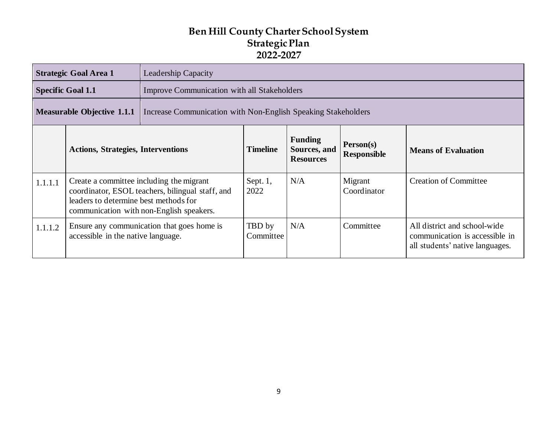|         | <b>Strategic Goal Area 1</b>                                                                                                                                                      | <b>Leadership Capacity</b>                                                                                                                                                          |                     |                  |                        |                                                                                                   |  |  |  |
|---------|-----------------------------------------------------------------------------------------------------------------------------------------------------------------------------------|-------------------------------------------------------------------------------------------------------------------------------------------------------------------------------------|---------------------|------------------|------------------------|---------------------------------------------------------------------------------------------------|--|--|--|
|         | <b>Specific Goal 1.1</b>                                                                                                                                                          | <b>Improve Communication with all Stakeholders</b>                                                                                                                                  |                     |                  |                        |                                                                                                   |  |  |  |
|         | <b>Measurable Objective 1.1.1</b>                                                                                                                                                 | Increase Communication with Non-English Speaking Stakeholders                                                                                                                       |                     |                  |                        |                                                                                                   |  |  |  |
|         |                                                                                                                                                                                   | <b>Funding</b><br>Person(s)<br><b>Timeline</b><br>Sources, and<br><b>Actions, Strategies, Interventions</b><br><b>Means of Evaluation</b><br><b>Responsible</b><br><b>Resources</b> |                     |                  |                        |                                                                                                   |  |  |  |
| 1.1.1.1 | Create a committee including the migrant<br>coordinator, ESOL teachers, bilingual staff, and<br>leaders to determine best methods for<br>communication with non-English speakers. |                                                                                                                                                                                     | Sept. $1$ ,<br>2022 | N/A              | Migrant<br>Coordinator | <b>Creation of Committee</b>                                                                      |  |  |  |
| 1.1.1.2 | Ensure any communication that goes home is<br>accessible in the native language.                                                                                                  |                                                                                                                                                                                     |                     | N/A<br>Committee | Committee              | All district and school-wide<br>communication is accessible in<br>all students' native languages. |  |  |  |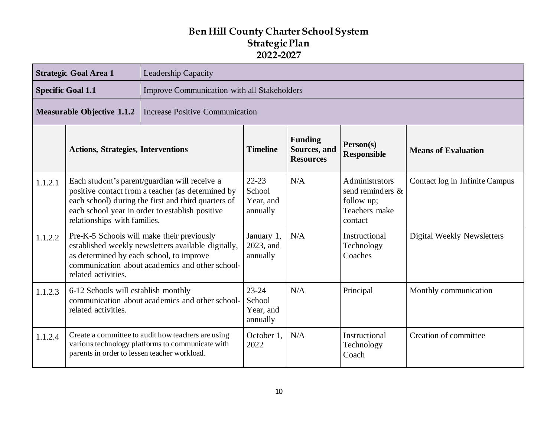|                                                                             | <b>Strategic Goal Area 1</b><br><b>Leadership Capacity</b>                                                    |                                                                                                                                                                                                              |                                              |                                                    |                                                                              |                                |  |
|-----------------------------------------------------------------------------|---------------------------------------------------------------------------------------------------------------|--------------------------------------------------------------------------------------------------------------------------------------------------------------------------------------------------------------|----------------------------------------------|----------------------------------------------------|------------------------------------------------------------------------------|--------------------------------|--|
| <b>Specific Goal 1.1</b><br>Improve Communication with all Stakeholders     |                                                                                                               |                                                                                                                                                                                                              |                                              |                                                    |                                                                              |                                |  |
| <b>Measurable Objective 1.1.2</b><br><b>Increase Positive Communication</b> |                                                                                                               |                                                                                                                                                                                                              |                                              |                                                    |                                                                              |                                |  |
|                                                                             | <b>Actions, Strategies, Interventions</b>                                                                     |                                                                                                                                                                                                              | <b>Timeline</b>                              | <b>Funding</b><br>Sources, and<br><b>Resources</b> | Person(s)<br><b>Responsible</b>                                              | <b>Means of Evaluation</b>     |  |
| 1.1.2.1                                                                     | relationships with families.                                                                                  | Each student's parent/guardian will receive a<br>positive contact from a teacher (as determined by<br>each school) during the first and third quarters of<br>each school year in order to establish positive | $22 - 23$<br>School<br>Year, and<br>annually | N/A                                                | Administrators<br>send reminders &<br>follow up;<br>Teachers make<br>contact | Contact log in Infinite Campus |  |
| 1.1.2.2                                                                     | related activities.                                                                                           | Pre-K-5 Schools will make their previously<br>established weekly newsletters available digitally,<br>as determined by each school, to improve<br>communication about academics and other school-             | January 1,<br>2023, and<br>annually          | N/A                                                | Instructional<br>Technology<br>Coaches                                       | Digital Weekly Newsletters     |  |
| 1.1.2.3                                                                     | 6-12 Schools will establish monthly<br>communication about academics and other school-<br>related activities. |                                                                                                                                                                                                              | $23 - 24$<br>School<br>Year, and<br>annually | N/A                                                | Principal                                                                    | Monthly communication          |  |
| 1.1.2.4                                                                     | parents in order to lessen teacher workload.                                                                  | Create a committee to audit how teachers are using<br>various technology platforms to communicate with                                                                                                       | October 1,<br>2022                           | N/A                                                | Instructional<br>Technology<br>Coach                                         | Creation of committee          |  |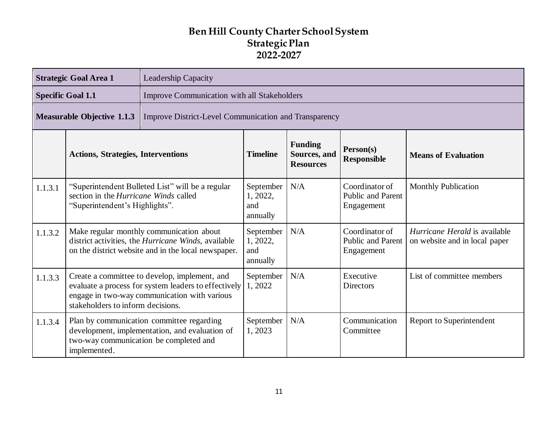| <b>Strategic Goal Area 1</b><br><b>Leadership Capacity</b>                                 |                                                                                                                                                                                            |                                                                                                                                                        |                                          |                                                    |                                                          |                                                                       |  |
|--------------------------------------------------------------------------------------------|--------------------------------------------------------------------------------------------------------------------------------------------------------------------------------------------|--------------------------------------------------------------------------------------------------------------------------------------------------------|------------------------------------------|----------------------------------------------------|----------------------------------------------------------|-----------------------------------------------------------------------|--|
|                                                                                            | <b>Specific Goal 1.1</b><br><b>Improve Communication with all Stakeholders</b>                                                                                                             |                                                                                                                                                        |                                          |                                                    |                                                          |                                                                       |  |
| <b>Measurable Objective 1.1.3</b><br>Improve District-Level Communication and Transparency |                                                                                                                                                                                            |                                                                                                                                                        |                                          |                                                    |                                                          |                                                                       |  |
|                                                                                            | <b>Actions, Strategies, Interventions</b>                                                                                                                                                  |                                                                                                                                                        | <b>Timeline</b>                          | <b>Funding</b><br>Sources, and<br><b>Resources</b> | Person(s)<br><b>Responsible</b>                          | <b>Means of Evaluation</b>                                            |  |
| 1.1.3.1                                                                                    | section in the Hurricane Winds called<br>"Superintendent's Highlights".                                                                                                                    | "Superintendent Bulleted List" will be a regular                                                                                                       | September<br>1, 2022,<br>and<br>annually | N/A                                                | Coordinator of<br><b>Public and Parent</b><br>Engagement | <b>Monthly Publication</b>                                            |  |
| 1.1.3.2                                                                                    |                                                                                                                                                                                            | Make regular monthly communication about<br>district activities, the Hurricane Winds, available<br>on the district website and in the local newspaper. | September<br>1, 2022,<br>and<br>annually | N/A                                                | Coordinator of<br><b>Public and Parent</b><br>Engagement | <i>Hurricane Herald</i> is available<br>on website and in local paper |  |
| 1.1.3.3                                                                                    | Create a committee to develop, implement, and<br>evaluate a process for system leaders to effectively<br>engage in two-way communication with various<br>stakeholders to inform decisions. |                                                                                                                                                        | September<br>1,2022                      | N/A                                                | Executive<br>Directors                                   | List of committee members                                             |  |
| 1.1.3.4                                                                                    | implemented.                                                                                                                                                                               | Plan by communication committee regarding<br>development, implementation, and evaluation of<br>two-way communication be completed and                  | September<br>1,2023                      | N/A                                                | Communication<br>Committee                               | Report to Superintendent                                              |  |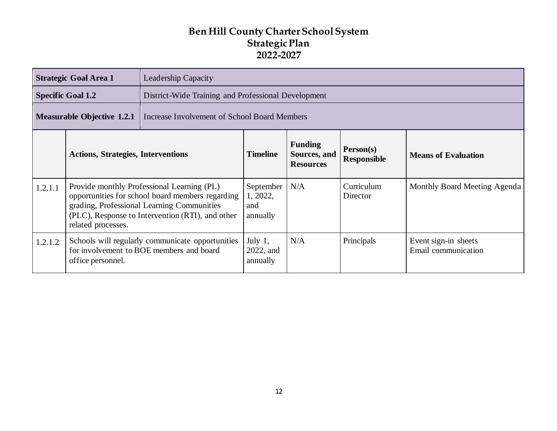|                                                                                          | <b>Strategic Goal Area 1</b><br><b>Leadership Capacity</b>                                                                                                                                                             |                                                                                              |                                          |     |                        |                                             |  |  |
|------------------------------------------------------------------------------------------|------------------------------------------------------------------------------------------------------------------------------------------------------------------------------------------------------------------------|----------------------------------------------------------------------------------------------|------------------------------------------|-----|------------------------|---------------------------------------------|--|--|
|                                                                                          | <b>Specific Goal 1.2</b>                                                                                                                                                                                               | District-Wide Training and Professional Development                                          |                                          |     |                        |                                             |  |  |
| <b>Measurable Objective 1.2.1</b><br><b>Increase Involvement of School Board Members</b> |                                                                                                                                                                                                                        |                                                                                              |                                          |     |                        |                                             |  |  |
|                                                                                          | <b>Funding</b><br>Person(s)<br><b>Timeline</b><br><b>Actions, Strategies, Interventions</b><br>Sources, and<br><b>Means of Evaluation</b><br><b>Responsible</b><br><b>Resources</b>                                    |                                                                                              |                                          |     |                        |                                             |  |  |
| 1.2.1.1                                                                                  | Provide monthly Professional Learning (PL)<br>opportunities for school board members regarding<br>grading, Professional Learning Communities<br>(PLC), Response to Intervention (RTI), and other<br>related processes. |                                                                                              | September<br>1, 2022,<br>and<br>annually | N/A | Curriculum<br>Director | Monthly Board Meeting Agenda                |  |  |
| 1.2.1.2                                                                                  | office personnel.                                                                                                                                                                                                      | Schools will regularly communicate opportunities<br>for involvement to BOE members and board | July $1,$<br>2022, and<br>annually       | N/A | Principals             | Event sign-in sheets<br>Email communication |  |  |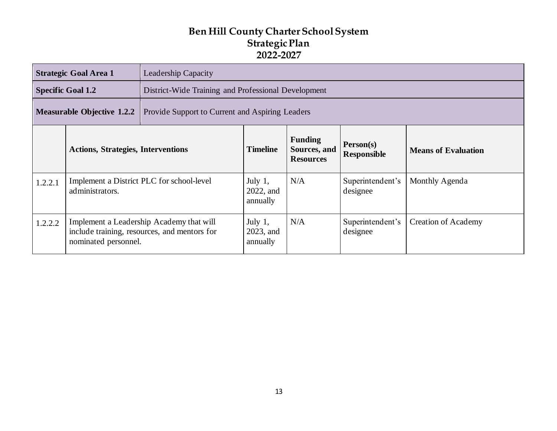|         | <b>Strategic Goal Area 1</b>                                                                                     | Leadership Capacity                                                                                                                    |                                     |     |                              |                            |  |  |  |
|---------|------------------------------------------------------------------------------------------------------------------|----------------------------------------------------------------------------------------------------------------------------------------|-------------------------------------|-----|------------------------------|----------------------------|--|--|--|
|         | <b>Specific Goal 1.2</b>                                                                                         | District-Wide Training and Professional Development                                                                                    |                                     |     |                              |                            |  |  |  |
|         | <b>Measurable Objective 1.2.2</b>                                                                                | Provide Support to Current and Aspiring Leaders                                                                                        |                                     |     |                              |                            |  |  |  |
|         | <b>Actions, Strategies, Interventions</b>                                                                        | <b>Funding</b><br>Person(s)<br><b>Timeline</b><br>Sources, and<br><b>Means of Evaluation</b><br><b>Responsible</b><br><b>Resources</b> |                                     |     |                              |                            |  |  |  |
| 1.2.2.1 | Implement a District PLC for school-level<br>administrators.                                                     |                                                                                                                                        | July $1$ ,<br>2022, and<br>annually | N/A | Superintendent's<br>designee | Monthly Agenda             |  |  |  |
| 1.2.2.2 | Implement a Leadership Academy that will<br>include training, resources, and mentors for<br>nominated personnel. |                                                                                                                                        |                                     | N/A | Superintendent's<br>designee | <b>Creation of Academy</b> |  |  |  |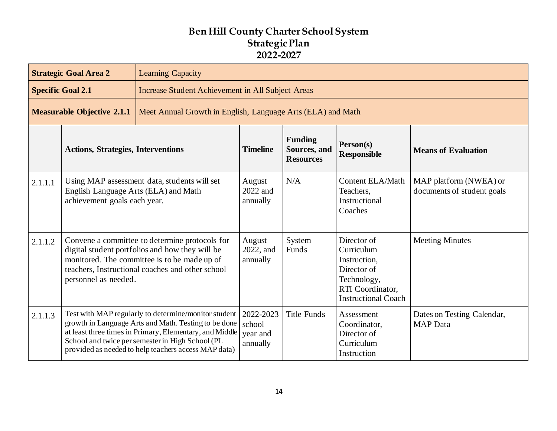|                                                                                                  | <b>Strategic Goal Area 2</b>                                                                                                                                                                                                  | <b>Learning Capacity</b>                                                                                                                                                                                                                                                            |                                             |                                                    |                                                                                                                           |                                                      |
|--------------------------------------------------------------------------------------------------|-------------------------------------------------------------------------------------------------------------------------------------------------------------------------------------------------------------------------------|-------------------------------------------------------------------------------------------------------------------------------------------------------------------------------------------------------------------------------------------------------------------------------------|---------------------------------------------|----------------------------------------------------|---------------------------------------------------------------------------------------------------------------------------|------------------------------------------------------|
|                                                                                                  | <b>Specific Goal 2.1</b>                                                                                                                                                                                                      | <b>Increase Student Achievement in All Subject Areas</b>                                                                                                                                                                                                                            |                                             |                                                    |                                                                                                                           |                                                      |
| <b>Measurable Objective 2.1.1</b><br>Meet Annual Growth in English, Language Arts (ELA) and Math |                                                                                                                                                                                                                               |                                                                                                                                                                                                                                                                                     |                                             |                                                    |                                                                                                                           |                                                      |
|                                                                                                  | <b>Actions, Strategies, Interventions</b>                                                                                                                                                                                     |                                                                                                                                                                                                                                                                                     | <b>Timeline</b>                             | <b>Funding</b><br>Sources, and<br><b>Resources</b> | Person(s)<br><b>Responsible</b>                                                                                           | <b>Means of Evaluation</b>                           |
| 2.1.1.1                                                                                          | English Language Arts (ELA) and Math<br>achievement goals each year.                                                                                                                                                          | Using MAP assessment data, students will set                                                                                                                                                                                                                                        | August<br>2022 and<br>annually              | N/A                                                | Content ELA/Math<br>Teachers,<br>Instructional<br>Coaches                                                                 | MAP platform (NWEA) or<br>documents of student goals |
| 2.1.1.2                                                                                          | Convene a committee to determine protocols for<br>digital student portfolios and how they will be<br>monitored. The committee is to be made up of<br>teachers, Instructional coaches and other school<br>personnel as needed. |                                                                                                                                                                                                                                                                                     | August<br>2022, and<br>annually             | System<br>Funds                                    | Director of<br>Curriculum<br>Instruction,<br>Director of<br>Technology,<br>RTI Coordinator,<br><b>Instructional Coach</b> | <b>Meeting Minutes</b>                               |
| 2.1.1.3                                                                                          |                                                                                                                                                                                                                               | Test with MAP regularly to determine/monitor student<br>growth in Language Arts and Math. Testing to be done<br>at least three times in Primary, Elementary, and Middle<br>School and twice per semester in High School (PL<br>provided as needed to help teachers access MAP data) | 2022-2023<br>school<br>year and<br>annually | <b>Title Funds</b>                                 | Assessment<br>Coordinator,<br>Director of<br>Curriculum<br>Instruction                                                    | Dates on Testing Calendar,<br><b>MAP</b> Data        |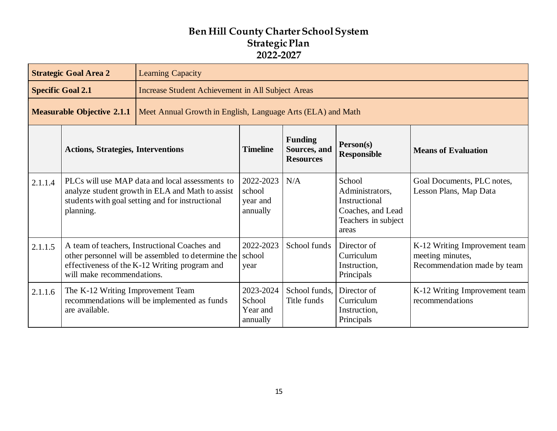|         | <b>Strategic Goal Area 2</b><br><b>Learning Capacity</b>                                         |                                                                                                                                                         |                                             |                                                    |                                                                                                 |                                                                                  |
|---------|--------------------------------------------------------------------------------------------------|---------------------------------------------------------------------------------------------------------------------------------------------------------|---------------------------------------------|----------------------------------------------------|-------------------------------------------------------------------------------------------------|----------------------------------------------------------------------------------|
|         | <b>Specific Goal 2.1</b><br><b>Increase Student Achievement in All Subject Areas</b>             |                                                                                                                                                         |                                             |                                                    |                                                                                                 |                                                                                  |
|         | <b>Measurable Objective 2.1.1</b><br>Meet Annual Growth in English, Language Arts (ELA) and Math |                                                                                                                                                         |                                             |                                                    |                                                                                                 |                                                                                  |
|         | <b>Actions, Strategies, Interventions</b>                                                        |                                                                                                                                                         | <b>Timeline</b>                             | <b>Funding</b><br>Sources, and<br><b>Resources</b> | Person(s)<br><b>Responsible</b>                                                                 | <b>Means of Evaluation</b>                                                       |
| 2.1.1.4 | planning.                                                                                        | PLCs will use MAP data and local assessments to<br>analyze student growth in ELA and Math to assist<br>students with goal setting and for instructional | 2022-2023<br>school<br>year and<br>annually | N/A                                                | School<br>Administrators,<br>Instructional<br>Coaches, and Lead<br>Teachers in subject<br>areas | Goal Documents, PLC notes,<br>Lesson Plans, Map Data                             |
| 2.1.1.5 | will make recommendations.                                                                       | A team of teachers, Instructional Coaches and<br>other personnel will be assembled to determine the<br>effectiveness of the K-12 Writing program and    | 2022-2023<br>school<br>year                 | School funds                                       | Director of<br>Curriculum<br>Instruction,<br>Principals                                         | K-12 Writing Improvement team<br>meeting minutes,<br>Recommendation made by team |
| 2.1.1.6 | The K-12 Writing Improvement Team<br>are available.                                              | recommendations will be implemented as funds                                                                                                            | 2023-2024<br>School<br>Year and<br>annually | School funds,<br>Title funds                       | Director of<br>Curriculum<br>Instruction,<br>Principals                                         | K-12 Writing Improvement team<br>recommendations                                 |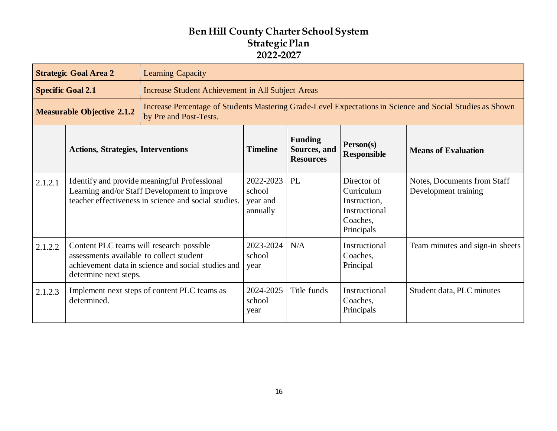|                                                                                                                                                                          | <b>Strategic Goal Area 2</b><br><b>Learning Capacity</b>                                                                                                            |                                                                                                                                                      |                                             |                                                    |                                                                                      |                                                     |  |
|--------------------------------------------------------------------------------------------------------------------------------------------------------------------------|---------------------------------------------------------------------------------------------------------------------------------------------------------------------|------------------------------------------------------------------------------------------------------------------------------------------------------|---------------------------------------------|----------------------------------------------------|--------------------------------------------------------------------------------------|-----------------------------------------------------|--|
|                                                                                                                                                                          | <b>Specific Goal 2.1</b>                                                                                                                                            | <b>Increase Student Achievement in All Subject Areas</b>                                                                                             |                                             |                                                    |                                                                                      |                                                     |  |
| Increase Percentage of Students Mastering Grade-Level Expectations in Science and Social Studies as Shown<br><b>Measurable Objective 2.1.2</b><br>by Pre and Post-Tests. |                                                                                                                                                                     |                                                                                                                                                      |                                             |                                                    |                                                                                      |                                                     |  |
|                                                                                                                                                                          | <b>Timeline</b><br><b>Actions, Strategies, Interventions</b>                                                                                                        |                                                                                                                                                      |                                             | <b>Funding</b><br>Sources, and<br><b>Resources</b> | Person(s)<br><b>Responsible</b>                                                      | <b>Means of Evaluation</b>                          |  |
| 2.1.2.1                                                                                                                                                                  |                                                                                                                                                                     | Identify and provide meaningful Professional<br>Learning and/or Staff Development to improve<br>teacher effectiveness in science and social studies. | 2022-2023<br>school<br>year and<br>annually | PL                                                 | Director of<br>Curriculum<br>Instruction,<br>Instructional<br>Coaches,<br>Principals | Notes, Documents from Staff<br>Development training |  |
| 2.1.2.2                                                                                                                                                                  | Content PLC teams will research possible<br>assessments available to collect student<br>achievement data in science and social studies and<br>determine next steps. |                                                                                                                                                      | 2023-2024<br>school<br>year                 | N/A                                                | Instructional<br>Coaches,<br>Principal                                               | Team minutes and sign-in sheets                     |  |
| 2.1.2.3                                                                                                                                                                  | determined.                                                                                                                                                         | Implement next steps of content PLC teams as                                                                                                         | 2024-2025<br>school<br>year                 | Title funds                                        | Instructional<br>Coaches,<br>Principals                                              | Student data, PLC minutes                           |  |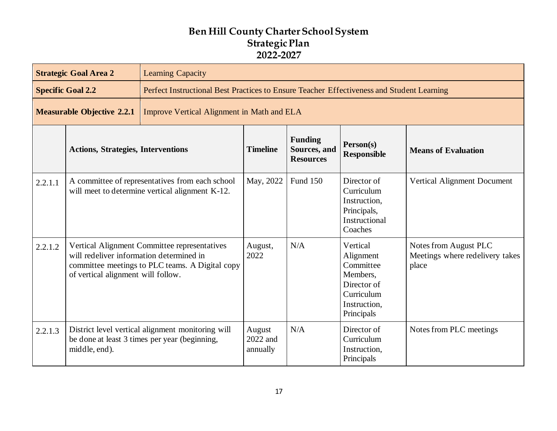|                                                                                        | <b>Strategic Goal Area 2</b><br><b>Learning Capacity</b>                                                                                                                          |                                                                                                    |                                |                                                    |                                                                                                           |                                                                   |
|----------------------------------------------------------------------------------------|-----------------------------------------------------------------------------------------------------------------------------------------------------------------------------------|----------------------------------------------------------------------------------------------------|--------------------------------|----------------------------------------------------|-----------------------------------------------------------------------------------------------------------|-------------------------------------------------------------------|
|                                                                                        | <b>Specific Goal 2.2</b>                                                                                                                                                          | Perfect Instructional Best Practices to Ensure Teacher Effectiveness and Student Learning          |                                |                                                    |                                                                                                           |                                                                   |
| <b>Measurable Objective 2.2.1</b><br><b>Improve Vertical Alignment in Math and ELA</b> |                                                                                                                                                                                   |                                                                                                    |                                |                                                    |                                                                                                           |                                                                   |
|                                                                                        | <b>Actions, Strategies, Interventions</b>                                                                                                                                         |                                                                                                    |                                | <b>Funding</b><br>Sources, and<br><b>Resources</b> | Person(s)<br><b>Responsible</b>                                                                           | <b>Means of Evaluation</b>                                        |
| 2.2.1.1                                                                                |                                                                                                                                                                                   | A committee of representatives from each school<br>will meet to determine vertical alignment K-12. | May, 2022                      | <b>Fund 150</b>                                    | Director of<br>Curriculum<br>Instruction,<br>Principals,<br>Instructional<br>Coaches                      | Vertical Alignment Document                                       |
| 2.2.1.2                                                                                | Vertical Alignment Committee representatives<br>will redeliver information determined in<br>committee meetings to PLC teams. A Digital copy<br>of vertical alignment will follow. |                                                                                                    | August,<br>2022                | N/A                                                | Vertical<br>Alignment<br>Committee<br>Members,<br>Director of<br>Curriculum<br>Instruction,<br>Principals | Notes from August PLC<br>Meetings where redelivery takes<br>place |
| 2.2.1.3                                                                                | middle, end).                                                                                                                                                                     | District level vertical alignment monitoring will<br>be done at least 3 times per year (beginning, | August<br>2022 and<br>annually | N/A                                                | Director of<br>Curriculum<br>Instruction,<br>Principals                                                   | Notes from PLC meetings                                           |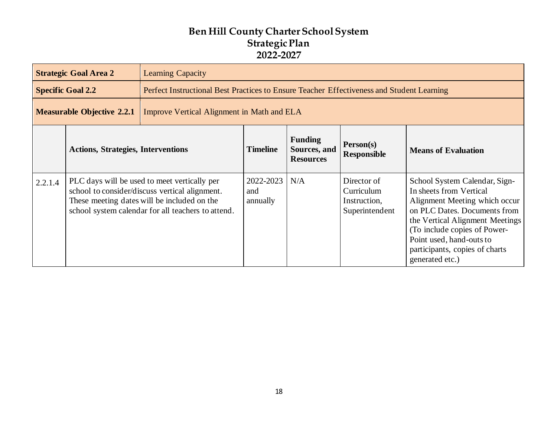|                                                                                 | <b>Strategic Goal Area 2</b>              | <b>Learning Capacity</b>                                                                                                                                                                            |                              |                                                    |                                                             |                                                                                                                                                                                                                                                                               |  |
|---------------------------------------------------------------------------------|-------------------------------------------|-----------------------------------------------------------------------------------------------------------------------------------------------------------------------------------------------------|------------------------------|----------------------------------------------------|-------------------------------------------------------------|-------------------------------------------------------------------------------------------------------------------------------------------------------------------------------------------------------------------------------------------------------------------------------|--|
|                                                                                 | <b>Specific Goal 2.2</b>                  | Perfect Instructional Best Practices to Ensure Teacher Effectiveness and Student Learning                                                                                                           |                              |                                                    |                                                             |                                                                                                                                                                                                                                                                               |  |
| <b>Measurable Objective 2.2.1</b><br>Improve Vertical Alignment in Math and ELA |                                           |                                                                                                                                                                                                     |                              |                                                    |                                                             |                                                                                                                                                                                                                                                                               |  |
|                                                                                 | <b>Actions, Strategies, Interventions</b> |                                                                                                                                                                                                     | <b>Timeline</b>              | <b>Funding</b><br>Sources, and<br><b>Resources</b> | Person(s)<br><b>Responsible</b>                             | <b>Means of Evaluation</b>                                                                                                                                                                                                                                                    |  |
| 2.2.1.4                                                                         |                                           | PLC days will be used to meet vertically per<br>school to consider/discuss vertical alignment.<br>These meeting dates will be included on the<br>school system calendar for all teachers to attend. | 2022-2023<br>and<br>annually | N/A                                                | Director of<br>Curriculum<br>Instruction,<br>Superintendent | School System Calendar, Sign-<br>In sheets from Vertical<br>Alignment Meeting which occur<br>on PLC Dates. Documents from<br>the Vertical Alignment Meetings<br>(To include copies of Power-<br>Point used, hand-outs to<br>participants, copies of charts<br>generated etc.) |  |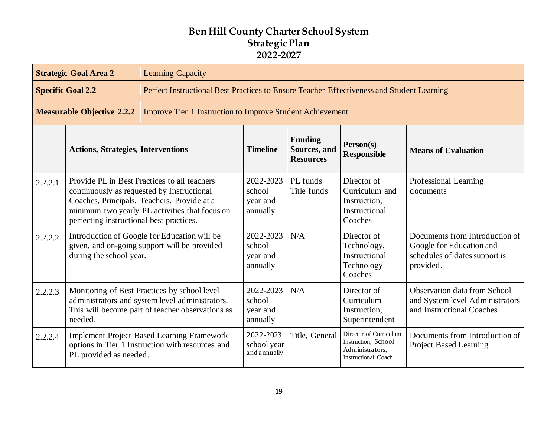|         | <b>Strategic Goal Area 2</b>                                                                                                                                                                                                            | <b>Learning Capacity</b>                                                                              |                                             |                                                    |                                                                                                |                                                                                                          |  |  |
|---------|-----------------------------------------------------------------------------------------------------------------------------------------------------------------------------------------------------------------------------------------|-------------------------------------------------------------------------------------------------------|---------------------------------------------|----------------------------------------------------|------------------------------------------------------------------------------------------------|----------------------------------------------------------------------------------------------------------|--|--|
|         | <b>Specific Goal 2.2</b>                                                                                                                                                                                                                | Perfect Instructional Best Practices to Ensure Teacher Effectiveness and Student Learning             |                                             |                                                    |                                                                                                |                                                                                                          |  |  |
|         | <b>Measurable Objective 2.2.2</b>                                                                                                                                                                                                       | <b>Improve Tier 1 Instruction to Improve Student Achievement</b>                                      |                                             |                                                    |                                                                                                |                                                                                                          |  |  |
|         | <b>Actions, Strategies, Interventions</b>                                                                                                                                                                                               |                                                                                                       | <b>Timeline</b>                             | <b>Funding</b><br>Sources, and<br><b>Resources</b> | Person(s)<br><b>Responsible</b>                                                                | <b>Means of Evaluation</b>                                                                               |  |  |
| 2.2.2.1 | Provide PL in Best Practices to all teachers<br>continuously as requested by Instructional<br>Coaches, Principals, Teachers. Provide at a<br>minimum two yearly PL activities that focus on<br>perfecting instructional best practices. |                                                                                                       | 2022-2023<br>school<br>year and<br>annually | PL funds<br>Title funds                            | Director of<br>Curriculum and<br>Instruction,<br>Instructional<br>Coaches                      | Professional Learning<br>documents                                                                       |  |  |
| 2.2.2.2 | Introduction of Google for Education will be<br>given, and on-going support will be provided<br>during the school year.                                                                                                                 |                                                                                                       | 2022-2023<br>school<br>year and<br>annually | N/A                                                | Director of<br>Technology,<br>Instructional<br>Technology<br>Coaches                           | Documents from Introduction of<br>Google for Education and<br>schedules of dates support is<br>provided. |  |  |
| 2.2.2.3 | Monitoring of Best Practices by school level<br>administrators and system level administrators.<br>This will become part of teacher observations as<br>needed.                                                                          |                                                                                                       | 2022-2023<br>school<br>year and<br>annually | N/A                                                | Director of<br>Curriculum<br>Instruction,<br>Superintendent                                    | Observation data from School<br>and System level Administrators<br>and Instructional Coaches             |  |  |
| 2.2.2.4 | PL provided as needed.                                                                                                                                                                                                                  | <b>Implement Project Based Learning Framework</b><br>options in Tier 1 Instruction with resources and | 2022-2023<br>school year<br>and annually    | Title, General                                     | Director of Curriculum<br>Instruction, School<br>Administrators,<br><b>Instructional Coach</b> | Documents from Introduction of<br><b>Project Based Learning</b>                                          |  |  |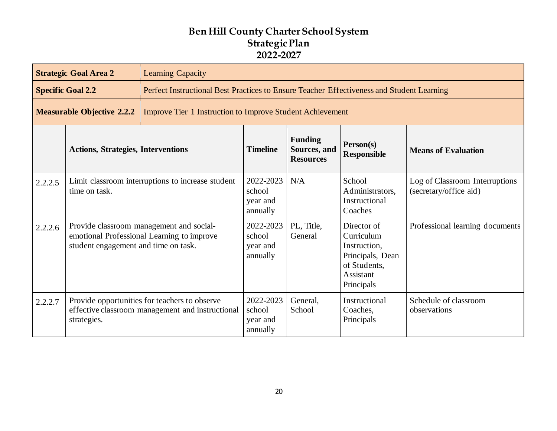|         | <b>Strategic Goal Area 2</b>                                                                                                   | <b>Learning Capacity</b>                                                                          |                                             |                                                                                           |                                                                                                          |                                                          |  |  |
|---------|--------------------------------------------------------------------------------------------------------------------------------|---------------------------------------------------------------------------------------------------|---------------------------------------------|-------------------------------------------------------------------------------------------|----------------------------------------------------------------------------------------------------------|----------------------------------------------------------|--|--|
|         | <b>Specific Goal 2.2</b>                                                                                                       |                                                                                                   |                                             | Perfect Instructional Best Practices to Ensure Teacher Effectiveness and Student Learning |                                                                                                          |                                                          |  |  |
|         | <b>Measurable Objective 2.2.2</b>                                                                                              | <b>Improve Tier 1 Instruction to Improve Student Achievement</b>                                  |                                             |                                                                                           |                                                                                                          |                                                          |  |  |
|         | <b>Actions, Strategies, Interventions</b>                                                                                      |                                                                                                   | <b>Timeline</b>                             | <b>Funding</b><br>Sources, and<br><b>Resources</b>                                        | Person(s)<br><b>Responsible</b>                                                                          | <b>Means of Evaluation</b>                               |  |  |
| 2.2.2.5 | Limit classroom interruptions to increase student<br>time on task.                                                             |                                                                                                   | 2022-2023<br>school<br>year and<br>annually | N/A                                                                                       | School<br>Administrators,<br>Instructional<br>Coaches                                                    | Log of Classroom Interruptions<br>(secretary/office aid) |  |  |
| 2.2.2.6 | Provide classroom management and social-<br>emotional Professional Learning to improve<br>student engagement and time on task. |                                                                                                   | 2022-2023<br>school<br>year and<br>annually | PL, Title,<br>General                                                                     | Director of<br>Curriculum<br>Instruction,<br>Principals, Dean<br>of Students,<br>Assistant<br>Principals | Professional learning documents                          |  |  |
| 2.2.2.7 | strategies.                                                                                                                    | Provide opportunities for teachers to observe<br>effective classroom management and instructional | 2022-2023<br>school<br>year and<br>annually | General,<br>School                                                                        | Instructional<br>Coaches,<br>Principals                                                                  | Schedule of classroom<br>observations                    |  |  |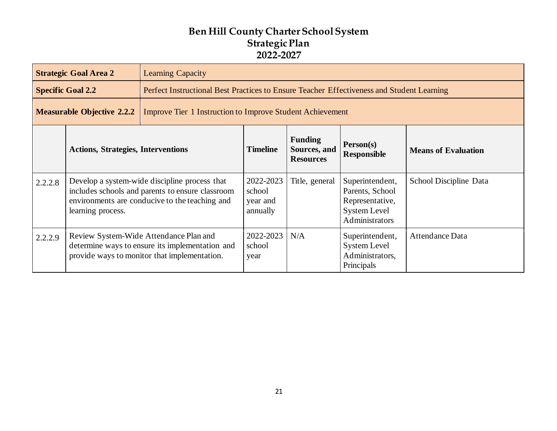|         | <b>Strategic Goal Area 2</b>                                                                                                                                             | <b>Learning Capacity</b>                                                                                                                  |                                             |                                                    |                                                                                                |                            |
|---------|--------------------------------------------------------------------------------------------------------------------------------------------------------------------------|-------------------------------------------------------------------------------------------------------------------------------------------|---------------------------------------------|----------------------------------------------------|------------------------------------------------------------------------------------------------|----------------------------|
|         | <b>Specific Goal 2.2</b>                                                                                                                                                 | Perfect Instructional Best Practices to Ensure Teacher Effectiveness and Student Learning                                                 |                                             |                                                    |                                                                                                |                            |
|         | <b>Measurable Objective 2.2.2</b>                                                                                                                                        | <b>Improve Tier 1 Instruction to Improve Student Achievement</b>                                                                          |                                             |                                                    |                                                                                                |                            |
|         | <b>Actions, Strategies, Interventions</b>                                                                                                                                |                                                                                                                                           | <b>Timeline</b>                             | <b>Funding</b><br>Sources, and<br><b>Resources</b> | Person(s)<br><b>Responsible</b>                                                                | <b>Means of Evaluation</b> |
| 2.2.2.8 | Develop a system-wide discipline process that<br>includes schools and parents to ensure classroom<br>environments are conducive to the teaching and<br>learning process. |                                                                                                                                           | 2022-2023<br>school<br>year and<br>annually | Title, general                                     | Superintendent,<br>Parents, School<br>Representative,<br><b>System Level</b><br>Administrators | School Discipline Data     |
| 2.2.2.9 |                                                                                                                                                                          | Review System-Wide Attendance Plan and<br>determine ways to ensure its implementation and<br>provide ways to monitor that implementation. | 2022-2023<br>school<br>year                 | N/A                                                | Superintendent,<br><b>System Level</b><br>Administrators,<br>Principals                        | Attendance Data            |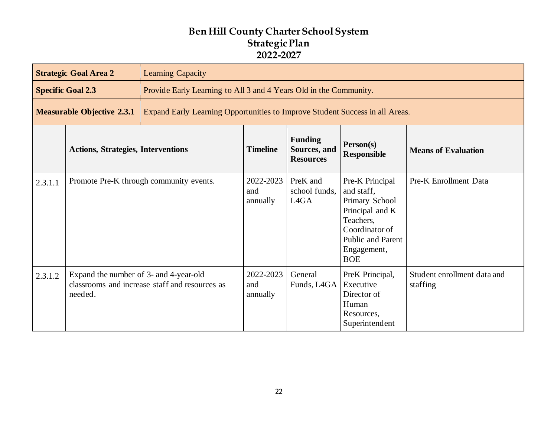|         | <b>Strategic Goal Area 2</b>                                                                                      | <b>Learning Capacity</b> |                              |                                                                   |                                                                                                                                                            |                                         |  |
|---------|-------------------------------------------------------------------------------------------------------------------|--------------------------|------------------------------|-------------------------------------------------------------------|------------------------------------------------------------------------------------------------------------------------------------------------------------|-----------------------------------------|--|
|         | <b>Specific Goal 2.3</b>                                                                                          |                          |                              | Provide Early Learning to All 3 and 4 Years Old in the Community. |                                                                                                                                                            |                                         |  |
|         | <b>Measurable Objective 2.3.1</b><br>Expand Early Learning Opportunities to Improve Student Success in all Areas. |                          |                              |                                                                   |                                                                                                                                                            |                                         |  |
|         | <b>Actions, Strategies, Interventions</b>                                                                         |                          |                              | <b>Funding</b><br>Sources, and<br><b>Resources</b>                | Person(s)<br><b>Responsible</b>                                                                                                                            | <b>Means of Evaluation</b>              |  |
| 2.3.1.1 | Promote Pre-K through community events.                                                                           |                          | 2022-2023<br>and<br>annually | PreK and<br>school funds,<br>L <sub>4</sub> G <sub>A</sub>        | Pre-K Principal<br>and staff,<br>Primary School<br>Principal and K<br>Teachers,<br>Coordinator of<br><b>Public and Parent</b><br>Engagement,<br><b>BOE</b> | Pre-K Enrollment Data                   |  |
| 2.3.1.2 | Expand the number of 3- and 4-year-old<br>classrooms and increase staff and resources as<br>needed.               |                          | 2022-2023<br>and<br>annually | General<br>Funds, L4GA                                            | PreK Principal,<br>Executive<br>Director of<br>Human<br>Resources,<br>Superintendent                                                                       | Student enrollment data and<br>staffing |  |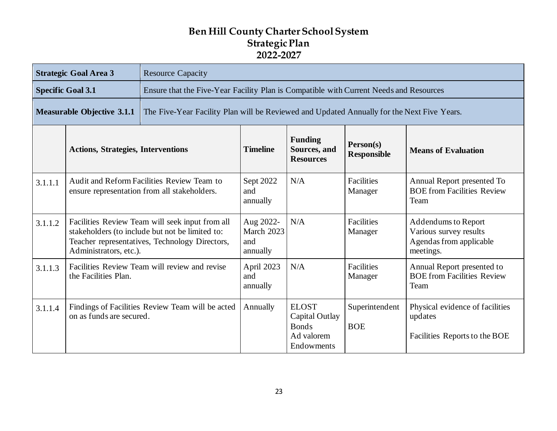|         | <b>Strategic Goal Area 3</b>                                                                                                                                                   | <b>Resource Capacity</b>                                                                   |                                                                                        |                                                                                   |                                 |                                                                                       |  |  |  |
|---------|--------------------------------------------------------------------------------------------------------------------------------------------------------------------------------|--------------------------------------------------------------------------------------------|----------------------------------------------------------------------------------------|-----------------------------------------------------------------------------------|---------------------------------|---------------------------------------------------------------------------------------|--|--|--|
|         | <b>Specific Goal 3.1</b>                                                                                                                                                       |                                                                                            | Ensure that the Five-Year Facility Plan is Compatible with Current Needs and Resources |                                                                                   |                                 |                                                                                       |  |  |  |
|         | <b>Measurable Objective 3.1.1</b>                                                                                                                                              | The Five-Year Facility Plan will be Reviewed and Updated Annually for the Next Five Years. |                                                                                        |                                                                                   |                                 |                                                                                       |  |  |  |
|         | <b>Actions, Strategies, Interventions</b>                                                                                                                                      |                                                                                            | <b>Timeline</b>                                                                        | <b>Funding</b><br>Sources, and<br><b>Resources</b>                                | Person(s)<br><b>Responsible</b> | <b>Means of Evaluation</b>                                                            |  |  |  |
| 3.1.1.1 | Audit and Reform Facilities Review Team to<br>ensure representation from all stakeholders.                                                                                     |                                                                                            | Sept 2022<br>and<br>annually                                                           | N/A                                                                               | <b>Facilities</b><br>Manager    | Annual Report presented To<br><b>BOE from Facilities Review</b><br>Team               |  |  |  |
| 3.1.1.2 | Facilities Review Team will seek input from all<br>stakeholders (to include but not be limited to:<br>Teacher representatives, Technology Directors,<br>Administrators, etc.). |                                                                                            | Aug 2022-<br>March 2023<br>and<br>annually                                             | N/A                                                                               | <b>Facilities</b><br>Manager    | Addendums to Report<br>Various survey results<br>Agendas from applicable<br>meetings. |  |  |  |
| 3.1.1.3 | Facilities Review Team will review and revise<br>the Facilities Plan.                                                                                                          |                                                                                            | April 2023<br>and<br>annually                                                          | N/A                                                                               | Facilities<br>Manager           | Annual Report presented to<br><b>BOE from Facilities Review</b><br>Team               |  |  |  |
| 3.1.1.4 | Findings of Facilities Review Team will be acted<br>on as funds are secured.                                                                                                   |                                                                                            | Annually                                                                               | <b>ELOST</b><br><b>Capital Outlay</b><br><b>Bonds</b><br>Ad valorem<br>Endowments | Superintendent<br><b>BOE</b>    | Physical evidence of facilities<br>updates<br>Facilities Reports to the BOE           |  |  |  |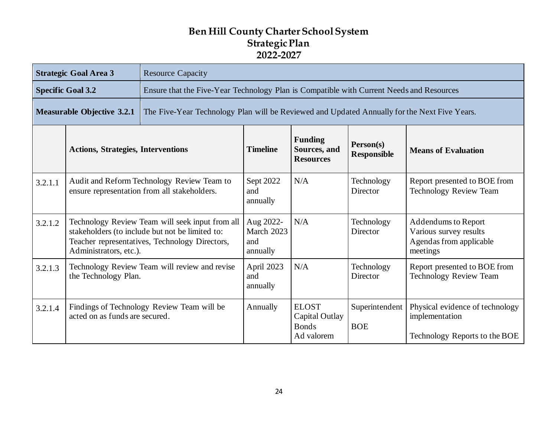|         | <b>Strategic Goal Area 3</b>                                                                                                                                                   | <b>Resource Capacity</b>                                                                     |                                            |                                                              |                                 |                                                                                      |  |  |
|---------|--------------------------------------------------------------------------------------------------------------------------------------------------------------------------------|----------------------------------------------------------------------------------------------|--------------------------------------------|--------------------------------------------------------------|---------------------------------|--------------------------------------------------------------------------------------|--|--|
|         | <b>Specific Goal 3.2</b>                                                                                                                                                       | Ensure that the Five-Year Technology Plan is Compatible with Current Needs and Resources     |                                            |                                                              |                                 |                                                                                      |  |  |
|         | <b>Measurable Objective 3.2.1</b>                                                                                                                                              | The Five-Year Technology Plan will be Reviewed and Updated Annually for the Next Five Years. |                                            |                                                              |                                 |                                                                                      |  |  |
|         | <b>Actions, Strategies, Interventions</b>                                                                                                                                      |                                                                                              | <b>Timeline</b>                            | <b>Funding</b><br>Sources, and<br><b>Resources</b>           | Person(s)<br><b>Responsible</b> | <b>Means of Evaluation</b>                                                           |  |  |
| 3.2.1.1 | Audit and Reform Technology Review Team to<br>ensure representation from all stakeholders.                                                                                     |                                                                                              | Sept 2022<br>and<br>annually               | N/A                                                          | Technology<br>Director          | Report presented to BOE from<br><b>Technology Review Team</b>                        |  |  |
| 3.2.1.2 | Technology Review Team will seek input from all<br>stakeholders (to include but not be limited to:<br>Teacher representatives, Technology Directors,<br>Administrators, etc.). |                                                                                              | Aug 2022-<br>March 2023<br>and<br>annually | N/A                                                          | Technology<br><b>Director</b>   | Addendums to Report<br>Various survey results<br>Agendas from applicable<br>meetings |  |  |
| 3.2.1.3 | Technology Review Team will review and revise<br>the Technology Plan.                                                                                                          |                                                                                              | April 2023<br>and<br>annually              | N/A                                                          | Technology<br>Director          | Report presented to BOE from<br><b>Technology Review Team</b>                        |  |  |
| 3.2.1.4 | acted on as funds are secured.                                                                                                                                                 | Findings of Technology Review Team will be                                                   | Annually                                   | <b>ELOST</b><br>Capital Outlay<br><b>Bonds</b><br>Ad valorem | Superintendent<br><b>BOE</b>    | Physical evidence of technology<br>implementation<br>Technology Reports to the BOE   |  |  |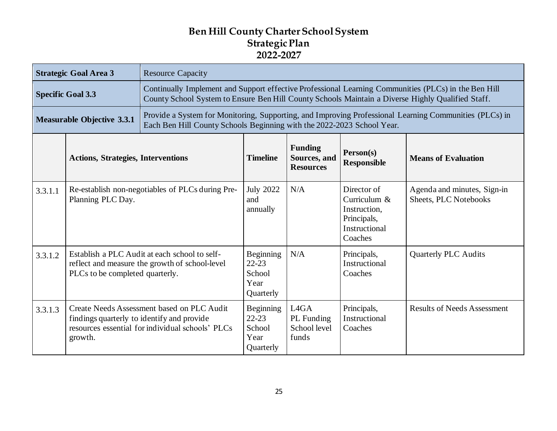|                                                                                                                                                                                                                       | <b>Strategic Goal Area 3</b>                                                                                                       | <b>Resource Capacity</b>                                                                       |                                                                                                                                                                                                           |                                                                      |                                                                                        |                                                             |  |
|-----------------------------------------------------------------------------------------------------------------------------------------------------------------------------------------------------------------------|------------------------------------------------------------------------------------------------------------------------------------|------------------------------------------------------------------------------------------------|-----------------------------------------------------------------------------------------------------------------------------------------------------------------------------------------------------------|----------------------------------------------------------------------|----------------------------------------------------------------------------------------|-------------------------------------------------------------|--|
|                                                                                                                                                                                                                       | <b>Specific Goal 3.3</b>                                                                                                           |                                                                                                | Continually Implement and Support effective Professional Learning Communities (PLCs) in the Ben Hill<br>County School System to Ensure Ben Hill County Schools Maintain a Diverse Highly Qualified Staff. |                                                                      |                                                                                        |                                                             |  |
| Provide a System for Monitoring, Supporting, and Improving Professional Learning Communities (PLCs) in<br><b>Measurable Objective 3.3.1</b><br>Each Ben Hill County Schools Beginning with the 2022-2023 School Year. |                                                                                                                                    |                                                                                                |                                                                                                                                                                                                           |                                                                      |                                                                                        |                                                             |  |
|                                                                                                                                                                                                                       | <b>Actions, Strategies, Interventions</b>                                                                                          |                                                                                                | <b>Timeline</b>                                                                                                                                                                                           | <b>Funding</b><br>Sources, and<br><b>Resources</b>                   | Person(s)<br><b>Responsible</b>                                                        | <b>Means of Evaluation</b>                                  |  |
| 3.3.1.1                                                                                                                                                                                                               | Re-establish non-negotiables of PLCs during Pre-<br>Planning PLC Day.                                                              |                                                                                                | <b>July 2022</b><br>and<br>annually                                                                                                                                                                       | N/A                                                                  | Director of<br>Curriculum &<br>Instruction,<br>Principals,<br>Instructional<br>Coaches | Agenda and minutes, Sign-in<br><b>Sheets, PLC Notebooks</b> |  |
| 3.3.1.2                                                                                                                                                                                                               | Establish a PLC Audit at each school to self-<br>reflect and measure the growth of school-level<br>PLCs to be completed quarterly. |                                                                                                | Beginning<br>$22 - 23$<br>School<br>Year<br>Quarterly                                                                                                                                                     | N/A                                                                  | Principals,<br>Instructional<br>Coaches                                                | <b>Quarterly PLC Audits</b>                                 |  |
| 3.3.1.3                                                                                                                                                                                                               | findings quarterly to identify and provide<br>growth.                                                                              | Create Needs Assessment based on PLC Audit<br>resources essential for individual schools' PLCs | Beginning<br>$22 - 23$<br>School<br>Year<br>Quarterly                                                                                                                                                     | L <sub>4</sub> G <sub>A</sub><br>PL Funding<br>School level<br>funds | Principals,<br>Instructional<br>Coaches                                                | <b>Results of Needs Assessment</b>                          |  |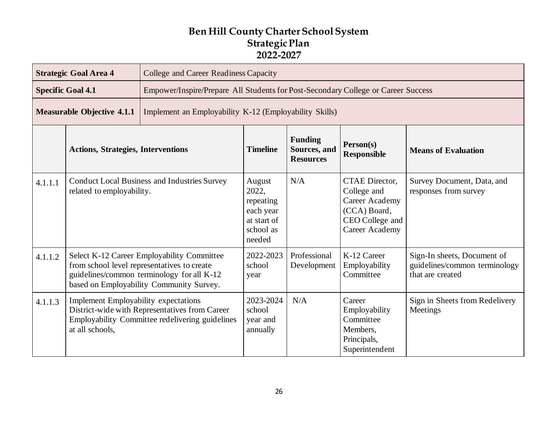|         | <b>Strategic Goal Area 4</b>                                                                                                                                                        | College and Career Readiness Capacity                                             |                                                                                 |                                                    |                                                                                                                    |                                                                                  |  |
|---------|-------------------------------------------------------------------------------------------------------------------------------------------------------------------------------------|-----------------------------------------------------------------------------------|---------------------------------------------------------------------------------|----------------------------------------------------|--------------------------------------------------------------------------------------------------------------------|----------------------------------------------------------------------------------|--|
|         | <b>Specific Goal 4.1</b>                                                                                                                                                            | Empower/Inspire/Prepare All Students for Post-Secondary College or Career Success |                                                                                 |                                                    |                                                                                                                    |                                                                                  |  |
|         | <b>Measurable Objective 4.1.1</b>                                                                                                                                                   | Implement an Employability K-12 (Employability Skills)                            |                                                                                 |                                                    |                                                                                                                    |                                                                                  |  |
|         | <b>Actions, Strategies, Interventions</b>                                                                                                                                           |                                                                                   | <b>Timeline</b>                                                                 | <b>Funding</b><br>Sources, and<br><b>Resources</b> | Person(s)<br><b>Responsible</b>                                                                                    | <b>Means of Evaluation</b>                                                       |  |
| 4.1.1.1 | <b>Conduct Local Business and Industries Survey</b><br>related to employability.                                                                                                    |                                                                                   | August<br>2022,<br>repeating<br>each year<br>at start of<br>school as<br>needed | N/A                                                | <b>CTAE</b> Director,<br>College and<br>Career Academy<br>(CCA) Board,<br>CEO College and<br><b>Career Academy</b> | Survey Document, Data, and<br>responses from survey                              |  |
| 4.1.1.2 | Select K-12 Career Employability Committee<br>from school level representatives to create<br>guidelines/common terminology for all K-12<br>based on Employability Community Survey. |                                                                                   | 2022-2023<br>school<br>year                                                     | Professional<br>Development                        | K-12 Career<br>Employability<br>Committee                                                                          | Sign-In sheets, Document of<br>guidelines/common terminology<br>that are created |  |
| 4.1.1.3 | <b>Implement Employability expectations</b><br>District-wide with Representatives from Career<br>Employability Committee redelivering guidelines<br>at all schools,                 |                                                                                   | 2023-2024<br>school<br>year and<br>annually                                     | N/A                                                | Career<br>Employability<br>Committee<br>Members,<br>Principals,<br>Superintendent                                  | Sign in Sheets from Redelivery<br>Meetings                                       |  |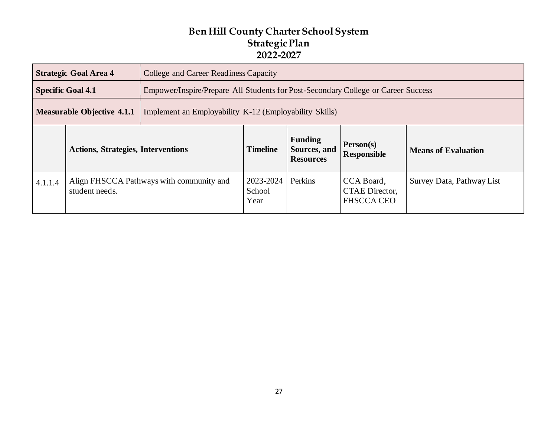| <b>Strategic Goal Area 4</b><br>College and Career Readiness Capacity                       |                                           |                             |                                                                                   |                                                    |                                 |                            |  |
|---------------------------------------------------------------------------------------------|-------------------------------------------|-----------------------------|-----------------------------------------------------------------------------------|----------------------------------------------------|---------------------------------|----------------------------|--|
|                                                                                             | <b>Specific Goal 4.1</b>                  |                             | Empower/Inspire/Prepare All Students for Post-Secondary College or Career Success |                                                    |                                 |                            |  |
| <b>Measurable Objective 4.1.1</b><br>Implement an Employability K-12 (Employability Skills) |                                           |                             |                                                                                   |                                                    |                                 |                            |  |
|                                                                                             | <b>Actions, Strategies, Interventions</b> |                             | <b>Timeline</b>                                                                   | <b>Funding</b><br>Sources, and<br><b>Resources</b> | Person(s)<br><b>Responsible</b> | <b>Means of Evaluation</b> |  |
| Align FHSCCA Pathways with community and<br>4.1.1.4<br>student needs.                       |                                           | 2023-2024<br>School<br>Year | Perkins                                                                           | CCA Board,<br>CTAE Director,<br><b>FHSCCA CEO</b>  | Survey Data, Pathway List       |                            |  |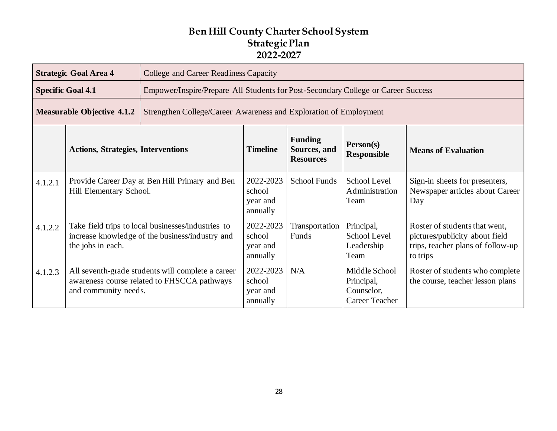|                                                                                                        | <b>Strategic Goal Area 4</b>                                                                                               | College and Career Readiness Capacity                                                            |                                             |                                                    |                                                             |                                                                                                                  |
|--------------------------------------------------------------------------------------------------------|----------------------------------------------------------------------------------------------------------------------------|--------------------------------------------------------------------------------------------------|---------------------------------------------|----------------------------------------------------|-------------------------------------------------------------|------------------------------------------------------------------------------------------------------------------|
|                                                                                                        | <b>Specific Goal 4.1</b>                                                                                                   | Empower/Inspire/Prepare All Students for Post-Secondary College or Career Success                |                                             |                                                    |                                                             |                                                                                                                  |
| <b>Measurable Objective 4.1.2</b><br>Strengthen College/Career Awareness and Exploration of Employment |                                                                                                                            |                                                                                                  |                                             |                                                    |                                                             |                                                                                                                  |
|                                                                                                        | <b>Actions, Strategies, Interventions</b>                                                                                  |                                                                                                  | <b>Timeline</b>                             | <b>Funding</b><br>Sources, and<br><b>Resources</b> | Person(s)<br><b>Responsible</b>                             | <b>Means of Evaluation</b>                                                                                       |
| 4.1.2.1                                                                                                | Provide Career Day at Ben Hill Primary and Ben<br>Hill Elementary School.                                                  |                                                                                                  | 2022-2023<br>school<br>year and<br>annually | <b>School Funds</b>                                | School Level<br>Administration<br>Team                      | Sign-in sheets for presenters,<br>Newspaper articles about Career<br>Day                                         |
| 4.1.2.2                                                                                                | Take field trips to local businesses/industries to<br>increase knowledge of the business/industry and<br>the jobs in each. |                                                                                                  | 2022-2023<br>school<br>year and<br>annually | Transportation<br>Funds                            | Principal,<br>School Level<br>Leadership<br>Team            | Roster of students that went,<br>pictures/publicity about field<br>trips, teacher plans of follow-up<br>to trips |
| 4.1.2.3                                                                                                | and community needs.                                                                                                       | All seventh-grade students will complete a career<br>awareness course related to FHSCCA pathways | 2022-2023<br>school<br>year and<br>annually | N/A                                                | Middle School<br>Principal,<br>Counselor,<br>Career Teacher | Roster of students who complete<br>the course, teacher lesson plans                                              |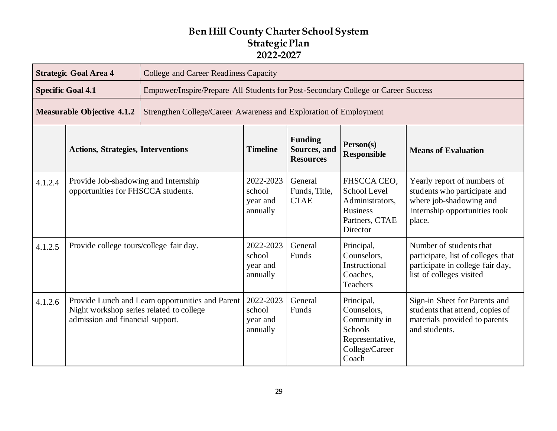|         | <b>Strategic Goal Area 4</b>                                                                                                     | <b>College and Career Readiness Capacity</b>                                      |                                             |                                                    |                                                                                                    |                                                                                                                                   |  |  |
|---------|----------------------------------------------------------------------------------------------------------------------------------|-----------------------------------------------------------------------------------|---------------------------------------------|----------------------------------------------------|----------------------------------------------------------------------------------------------------|-----------------------------------------------------------------------------------------------------------------------------------|--|--|
|         | <b>Specific Goal 4.1</b>                                                                                                         | Empower/Inspire/Prepare All Students for Post-Secondary College or Career Success |                                             |                                                    |                                                                                                    |                                                                                                                                   |  |  |
|         | <b>Measurable Objective 4.1.2</b>                                                                                                | Strengthen College/Career Awareness and Exploration of Employment                 |                                             |                                                    |                                                                                                    |                                                                                                                                   |  |  |
|         | <b>Actions, Strategies, Interventions</b>                                                                                        |                                                                                   | <b>Timeline</b>                             | <b>Funding</b><br>Sources, and<br><b>Resources</b> | Person(s)<br><b>Responsible</b>                                                                    | <b>Means of Evaluation</b>                                                                                                        |  |  |
| 4.1.2.4 | Provide Job-shadowing and Internship<br>opportunities for FHSCCA students.                                                       |                                                                                   | 2022-2023<br>school<br>year and<br>annually | General<br>Funds, Title,<br><b>CTAE</b>            | FHSCCA CEO.<br>School Level<br>Administrators,<br><b>Business</b><br>Partners, CTAE<br>Director    | Yearly report of numbers of<br>students who participate and<br>where job-shadowing and<br>Internship opportunities took<br>place. |  |  |
| 4.1.2.5 | Provide college tours/college fair day.                                                                                          |                                                                                   | 2022-2023<br>school<br>year and<br>annually | General<br>Funds                                   | Principal,<br>Counselors,<br>Instructional<br>Coaches,<br><b>Teachers</b>                          | Number of students that<br>participate, list of colleges that<br>participate in college fair day,<br>list of colleges visited     |  |  |
| 4.1.2.6 | Provide Lunch and Learn opportunities and Parent<br>Night workshop series related to college<br>admission and financial support. |                                                                                   | 2022-2023<br>school<br>year and<br>annually | General<br>Funds                                   | Principal,<br>Counselors,<br>Community in<br>Schools<br>Representative,<br>College/Career<br>Coach | Sign-in Sheet for Parents and<br>students that attend, copies of<br>materials provided to parents<br>and students.                |  |  |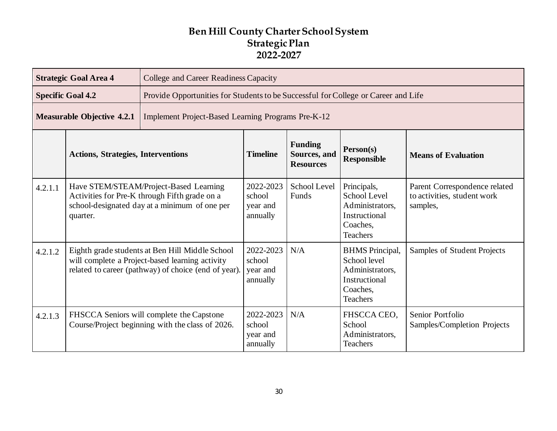|         | <b>Strategic Goal Area 4</b>                                                                                                                               | College and Career Readiness Capacity                                                         |                                             |                                                                                    |                                                                                                           |                                                                          |  |  |
|---------|------------------------------------------------------------------------------------------------------------------------------------------------------------|-----------------------------------------------------------------------------------------------|---------------------------------------------|------------------------------------------------------------------------------------|-----------------------------------------------------------------------------------------------------------|--------------------------------------------------------------------------|--|--|
|         | <b>Specific Goal 4.2</b>                                                                                                                                   |                                                                                               |                                             | Provide Opportunities for Students to be Successful for College or Career and Life |                                                                                                           |                                                                          |  |  |
|         | <b>Measurable Objective 4.2.1</b>                                                                                                                          | Implement Project-Based Learning Programs Pre-K-12                                            |                                             |                                                                                    |                                                                                                           |                                                                          |  |  |
|         | <b>Actions, Strategies, Interventions</b>                                                                                                                  |                                                                                               | <b>Timeline</b>                             | <b>Funding</b><br>Sources, and<br><b>Resources</b>                                 | Person(s)<br><b>Responsible</b>                                                                           | <b>Means of Evaluation</b>                                               |  |  |
| 4.2.1.1 | Have STEM/STEAM/Project-Based Learning<br>Activities for Pre-K through Fifth grade on a<br>school-designated day at a minimum of one per<br>quarter.       |                                                                                               | 2022-2023<br>school<br>year and<br>annually | <b>School Level</b><br>Funds                                                       | Principals,<br>School Level<br>Administrators,<br>Instructional<br>Coaches,<br><b>Teachers</b>            | Parent Correspondence related<br>to activities, student work<br>samples, |  |  |
| 4.2.1.2 | Eighth grade students at Ben Hill Middle School<br>will complete a Project-based learning activity<br>related to career (pathway) of choice (end of year). |                                                                                               | 2022-2023<br>school<br>year and<br>annually | N/A                                                                                | <b>BHMS</b> Principal,<br>School level<br>Administrators,<br>Instructional<br>Coaches,<br><b>Teachers</b> | Samples of Student Projects                                              |  |  |
| 4.2.1.3 |                                                                                                                                                            | FHSCCA Seniors will complete the Capstone<br>Course/Project beginning with the class of 2026. | 2022-2023<br>school<br>year and<br>annually | N/A                                                                                | FHSCCA CEO,<br>School<br>Administrators,<br><b>Teachers</b>                                               | Senior Portfolio<br>Samples/Completion Projects                          |  |  |